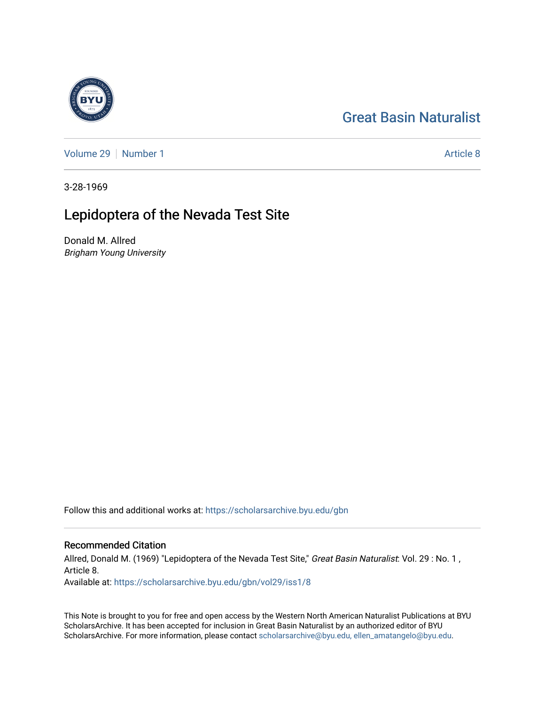# [Great Basin Naturalist](https://scholarsarchive.byu.edu/gbn)

[Volume 29](https://scholarsarchive.byu.edu/gbn/vol29) | [Number 1](https://scholarsarchive.byu.edu/gbn/vol29/iss1) Article 8

3-28-1969

## Lepidoptera of the Nevada Test Site

Donald M. Allred Brigham Young University

Follow this and additional works at: [https://scholarsarchive.byu.edu/gbn](https://scholarsarchive.byu.edu/gbn?utm_source=scholarsarchive.byu.edu%2Fgbn%2Fvol29%2Fiss1%2F8&utm_medium=PDF&utm_campaign=PDFCoverPages) 

### Recommended Citation

Allred, Donald M. (1969) "Lepidoptera of the Nevada Test Site," Great Basin Naturalist: Vol. 29: No. 1, Article 8. Available at: [https://scholarsarchive.byu.edu/gbn/vol29/iss1/8](https://scholarsarchive.byu.edu/gbn/vol29/iss1/8?utm_source=scholarsarchive.byu.edu%2Fgbn%2Fvol29%2Fiss1%2F8&utm_medium=PDF&utm_campaign=PDFCoverPages)

This Note is brought to you for free and open access by the Western North American Naturalist Publications at BYU ScholarsArchive. It has been accepted for inclusion in Great Basin Naturalist by an authorized editor of BYU ScholarsArchive. For more information, please contact [scholarsarchive@byu.edu, ellen\\_amatangelo@byu.edu.](mailto:scholarsarchive@byu.edu,%20ellen_amatangelo@byu.edu)